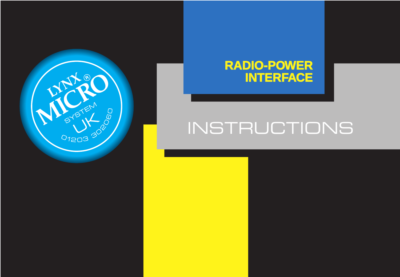

# **RADIO-POWER INTERFACE**

# INSTRUCTIONS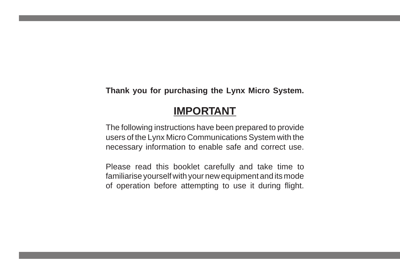**Thank you for purchasing the Lynx Micro System.**

## **IMPORTANT**

The following instructions have been prepared to provide users of the Lynx Micro Communications System with the necessary information to enable safe and correct use.

Please read this booklet carefully and take time to familiarise yourself with your new equipment and its mode of operation before attempting to use it during flight.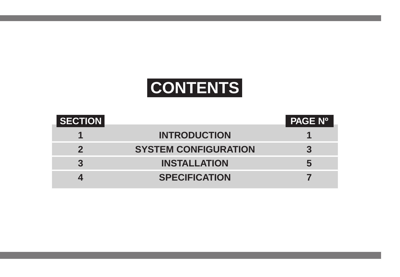# **CONTENTS**

| <b>SECTION</b> |                             | <b>PAGE Nº</b> |
|----------------|-----------------------------|----------------|
|                | <b>INTRODUCTION</b>         |                |
|                | <b>SYSTEM CONFIGURATION</b> |                |
|                | <b>INSTALLATION</b>         | 5              |
|                | <b>SPECIFICATION</b>        |                |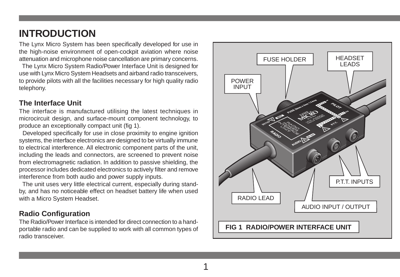## **INTRODUCTION**

The Lynx Micro System has been specifically developed for use in the high-noise environment of open-cockpit aviation where noise attenuation and microphone noise cancellation are primary concerns.

 The Lynx Micro System Radio/Power Interface Unit is designed for use with Lynx Micro System Headsets and airband radio transceivers, to provide pilots with all the facilities necessary for high quality radio telephony.

#### **The Interface Unit**

The interface is manufactured utilising the latest techniques in microcircuit design, and surface-mount component technology, to produce an exceptionally compact unit (fig 1).

Developed specifically for use in close proximity to engine ignition systems, the interface electronics are designed to be virtually immune to electrical interference. All electronic component parts of the unit, including the leads and connectors, are screened to prevent noise from electromagnetic radiation. In addition to passive shielding, the processor includes dedicated electronics to actively filter and remove interference from both audio and power supply inputs.

 The unit uses very little electrical current, especially during standby, and has no noticeable effect on headset battery life when used with a Micro System Headset.

#### **Radio Configuration**

The Radio/Power Interface is intended for direct connection to a handportable radio and can be supplied to work with all common types of radio transceiver.

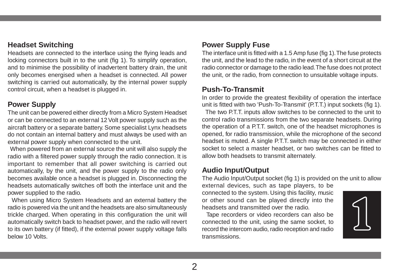#### **Headset Switching**

Headsets are connected to the interface using the flying leads and locking connectors built in to the unit (fig 1). To simplify operation, and to minimise the possibility of inadvertent battery drain, the unit only becomes energised when a headset is connected. All power switching is carried out automatically, by the internal power supply control circuit, when a headset is plugged in.

#### **Power Supply**

The unit can be powered either directly from a Micro System Headset or can be connected to an external 12 Volt power supply such as the aircraft battery or a separate battery. Some specialist Lynx headsets do not contain an internal battery and must always be used with an external power supply when connected to the unit.

 When powered from an external source the unit will also supply the radio with a filtered power supply through the radio connection. It is important to remember that all power switching is carried out automatically, by the unit, and the power supply to the radio only becomes available once a headset is plugged in. Disconnecting the headsets automatically switches off both the interface unit and the power supplied to the radio.

 When using Micro System Headsets and an external battery the radio is powered via the unit and the headsets are also simultaneously trickle charged. When operating in this configuration the unit will automatically switch back to headset power, and the radio will revert to its own battery (if fitted), if the external power supply voltage falls below 10 Volts.

#### **Power Supply Fuse**

The interface unit is fitted with a 1.5 Amp fuse (fig 1). The fuse protects the unit, and the lead to the radio, in the event of a short circuit at the radio connector or damage to the radio lead. The fuse does not protect the unit, or the radio, from connection to unsuitable voltage inputs.

#### **Push-To-Transmit**

In order to provide the greatest flexibility of operation the interface unit is fitted with two 'Push-To-Transmit' (P.T.T.) input sockets (fig 1).

 The two P.T.T. inputs allow switches to be connected to the unit to control radio transmissions from the two separate headsets. During the operation of a P.T.T. switch, one of the headset microphones is opened, for radio transmission, while the microphone of the second headset is muted. A single P.T.T. switch may be connected in either socket to select a master headset, or two switches can be fitted to allow both headsets to transmit alternately.

#### **Audio Input/Output**

The Audio Input/Output socket (fig 1) is provided on the unit to allow external devices, such as tape players, to be

connected to the system. Using this facility, music or other sound can be played directly into the headsets and transmitted over the radio.

 Tape recorders or video recorders can also be connected to the unit, using the same socket, to record the intercom audio, radio reception and radio transmissions.

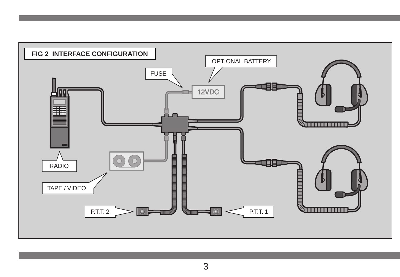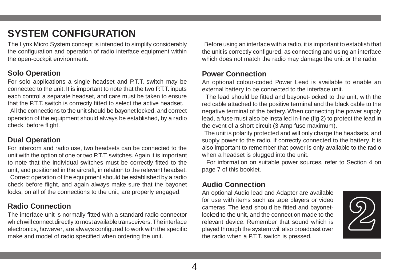# **SYSTEM CONFIGURATION**

The Lynx Micro System concept is intended to simplify considerably the configuration and operation of radio interface equipment within the open-cockpit environment.

#### **Solo Operation**

For solo applications a single headset and P.T.T. switch may be connected to the unit. It is important to note that the two P.T.T. inputs each control a separate headset, and care must be taken to ensure that the P.T.T. switch is correctly fitted to select the active headset. All the connections to the unit should be bayonet locked, and correct operation of the equipment should always be established, by a radio check, before flight.

#### **Dual Operation**

For intercom and radio use, two headsets can be connected to the unit with the option of one or two P.T.T. switches. Again it is important to note that the individual switches must be correctly fitted to the unit, and positioned in the aircraft, in relation to the relevant headset. Correct operation of the equipment should be established by a radio check before flight, and again always make sure that the bayonet locks, on all of the connections to the unit, are properly engaged.

#### **Radio Connection**

The interface unit is normally fitted with a standard radio connector which will connect directly to most available transceivers. The interface electronics, however, are always configured to work with the specific make and model of radio specified when ordering the unit.

 Before using an interface with a radio, it is important to establish that the unit is correctly configured, as connecting and using an interface which does not match the radio may damage the unit or the radio.

#### **Power Connection**

An optional colour-coded Power Lead is available to enable an external battery to be connected to the interface unit.

 The lead should be fitted and bayonet-locked to the unit, with the red cable attached to the positive terminal and the black cable to the negative terminal of the battery. When connecting the power supply lead, a fuse must also be installed in-line (fig 2) to protect the lead in the event of a short circuit (3 Amp fuse maximum).

 The unit is polarity protected and will only charge the headsets, and supply power to the radio, if correctly connected to the battery. It is also important to remember that power is only available to the radio when a headset is plugged into the unit.

 For information on suitable power sources, refer to Section 4 on page 7 of this booklet.

#### **Audio Connection**

An optional Audio lead and Adapter are available for use with items such as tape players or video cameras. The lead should be fitted and bayonetlocked to the unit, and the connection made to the relevant device. Remember that sound which is played through the system will also broadcast over the radio when a P.T.T. switch is pressed.

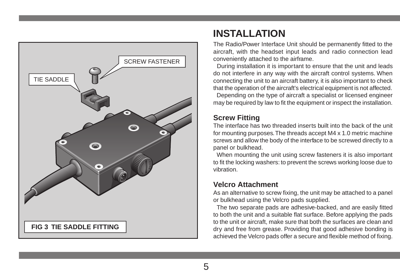

# **INSTALLATION**

The Radio/Power Interface Unit should be permanently fitted to the aircraft, with the headset input leads and radio connection lead conveniently attached to the airframe.

 During installation it is important to ensure that the unit and leads do not interfere in any way with the aircraft control systems. When connecting the unit to an aircraft battery, it is also important to check that the operation of the aircraft's electrical equipment is not affected. Depending on the type of aircraft a specialist or licensed engineer may be required by law to fit the equipment or inspect the installation.

## **Screw Fitting**

The interface has two threaded inserts built into the back of the unit for mounting purposes. The threads accept M4 x 1.0 metric machine screws and allow the body of the interface to be screwed directly to a panel or bulkhead.

 When mounting the unit using screw fasteners it is also important to fit the locking washers: to prevent the screws working loose due to vibration.

#### **Velcro Attachment**

As an alternative to screw fixing, the unit may be attached to a panel or bulkhead using the Velcro pads supplied.

 The two separate pads are adhesive-backed, and are easily fitted to both the unit and a suitable flat surface. Before applying the pads to the unit or aircraft, make sure that both the surfaces are clean and dry and free from grease. Providing that good adhesive bonding is achieved the Velcro pads offer a secure and flexible method of fixing.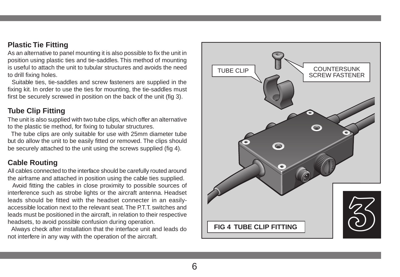#### **Plastic Tie Fitting**

As an alternative to panel mounting it is also possible to fix the unit in position using plastic ties and tie-saddles. This method of mounting is useful to attach the unit to tubular structures and avoids the need to drill fixing holes.

 Suitable ties, tie-saddles and screw fasteners are supplied in the fixing kit. In order to use the ties for mounting, the tie-saddles must first be securely screwed in position on the back of the unit (fig 3).

#### **Tube Clip Fitting**

The unit is also supplied with two tube clips, which offer an alternative to the plastic tie method, for fixing to tubular structures.

 The tube clips are only suitable for use with 25mm diameter tube but do allow the unit to be easily fitted or removed. The clips should be securely attached to the unit using the screws supplied (fig 4).

#### **Cable Routing**

All cables connected to the interface should be carefully routed around the airframe and attached in position using the cable ties supplied.

 Avoid fitting the cables in close proximity to possible sources of interference such as strobe lights or the aircraft antenna. Headset leads should be fitted with the headset connecter in an easilyaccessible location next to the relevant seat. The P.T.T. switches and leads must be positioned in the aircraft, in relation to their respective headsets, to avoid possible confusion during operation.

 Always check after installation that the interface unit and leads do not interfere in any way with the operation of the aircraft.

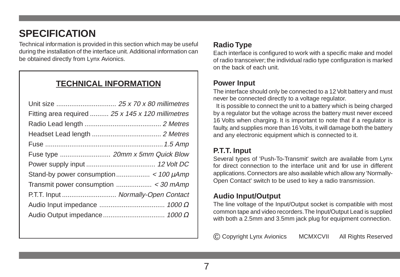# **SPECIFICATION**

Technical information is provided in this section which may be useful during the installation of the interface unit. Additional information can be obtained directly from Lynx Avionics.

## **TECHNICAL INFORMATION**

| Fitting area required  25 x 145 x 120 millimetres |  |
|---------------------------------------------------|--|
|                                                   |  |
|                                                   |  |
|                                                   |  |
| Fuse type  20mm x 5mm Quick Blow                  |  |
|                                                   |  |
|                                                   |  |
|                                                   |  |
| P.T.T. Input  Normally-Open Contact               |  |
|                                                   |  |
|                                                   |  |
|                                                   |  |

#### **Radio Type**

Each interface is configured to work with a specific make and model of radio transceiver; the individual radio type configuration is marked on the back of each unit.

#### **Power Input**

The interface should only be connected to a 12 Volt battery and must never be connected directly to a voltage regulator.

 It is possible to connect the unit to a battery which is being charged by a regulator but the voltage across the battery must never exceed 16 Volts when charging. It is important to note that if a regulator is faulty, and supplies more than 16 Volts, it will damage both the battery and any electronic equipment which is connected to it.

### **P.T.T. Input**

Several types of 'Push-To-Transmit' switch are available from Lynx for direct connection to the interface unit and for use in different applications. Connectors are also available which allow any 'Normally-Open Contact' switch to be used to key a radio transmission.

### **Audio Input/Output**

The line voltage of the Input/Output socket is compatible with most common tape and video recorders. The Input/Output Lead is supplied with both a 2.5mm and 3.5mm jack plug for equipment connection.

© Copyright Lynx Avionics MCMXCVII All Rights Reserved